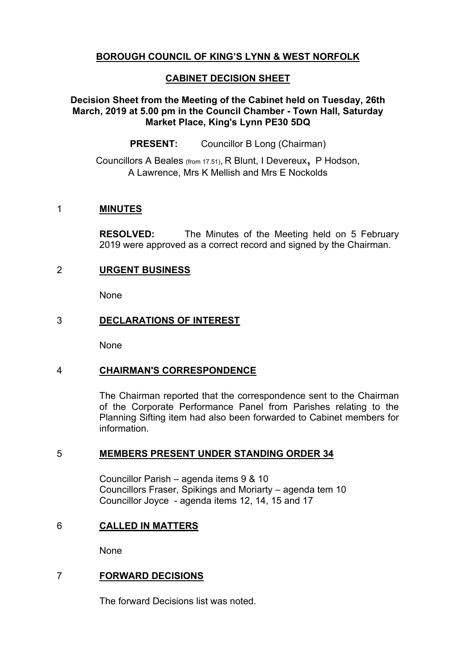# **BOROUGH COUNCIL OF KING'S LYNN & WEST NORFOLK**

# **CABINET DECISION SHEET**

## **Decision Sheet from the Meeting of the Cabinet held on Tuesday, 26th March, 2019 at 5.00 pm in the Council Chamber - Town Hall, Saturday Market Place, King's Lynn PE30 5DQ**

**PRESENT:** Councillor B Long (Chairman)

Councillors <sup>A</sup> Beales (from 17.51), <sup>R</sup> Blunt, <sup>I</sup> Devereux, <sup>P</sup> Hodson, A Lawrence, Mrs K Mellish and Mrs E Nockolds

## 1 **MINUTES**

**RESOLVED:** The Minutes of the Meeting held on 5 February 2019 were approved as a correct record and signed by the Chairman.

# 2 **URGENT BUSINESS**

None

## 3 **DECLARATIONS OF INTEREST**

None

## 4 **CHAIRMAN'S CORRESPONDENCE**

The Chairman reported that the correspondence sent to the Chairman of the Corporate Performance Panel from Parishes relating to the Planning Sifting item had also been forwarded to Cabinet members for information.

## 5 **MEMBERS PRESENT UNDER STANDING ORDER 34**

Councillor Parish – agenda items 9 & 10 Councillors Fraser, Spikings and Moriarty – agenda tem 10 Councillor Joyce - agenda items 12, 14, 15 and 17

## 6 **CALLED IN MATTERS**

None

# 7 **FORWARD DECISIONS**

The forward Decisions list was noted.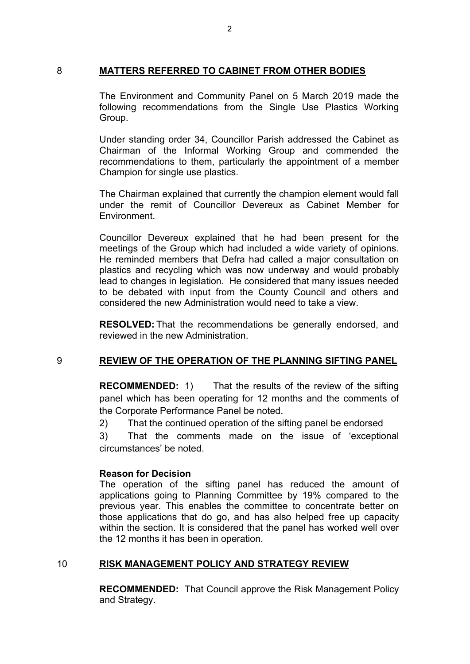#### 8 **MATTERS REFERRED TO CABINET FROM OTHER BODIES**

The Environment and Community Panel on 5 March 2019 made the following recommendations from the Single Use Plastics Working Group.

Under standing order 34, Councillor Parish addressed the Cabinet as Chairman of the Informal Working Group and commended the recommendations to them, particularly the appointment of a member Champion for single use plastics.

The Chairman explained that currently the champion element would fall under the remit of Councillor Devereux as Cabinet Member for Environment.

Councillor Devereux explained that he had been present for the meetings of the Group which had included a wide variety of opinions. He reminded members that Defra had called a major consultation on plastics and recycling which was now underway and would probably lead to changes in legislation. He considered that many issues needed to be debated with input from the County Council and others and considered the new Administration would need to take a view.

**RESOLVED:** That the recommendations be generally endorsed, and reviewed in the new Administration.

## 9 **REVIEW OF THE OPERATION OF THE PLANNING SIFTING PANEL**

**RECOMMENDED:** 1) That the results of the review of the sifting panel which has been operating for 12 months and the comments of the Corporate Performance Panel be noted.

2) That the continued operation of the sifting panel be endorsed

3) That the comments made on the issue of 'exceptional circumstances' be noted.

## **Reason for Decision**

The operation of the sifting panel has reduced the amount of applications going to Planning Committee by 19% compared to the previous year. This enables the committee to concentrate better on those applications that do go, and has also helped free up capacity within the section. It is considered that the panel has worked well over the 12 months it has been in operation.

## 10 **RISK MANAGEMENT POLICY AND STRATEGY REVIEW**

**RECOMMENDED:** That Council approve the Risk Management Policy and Strategy.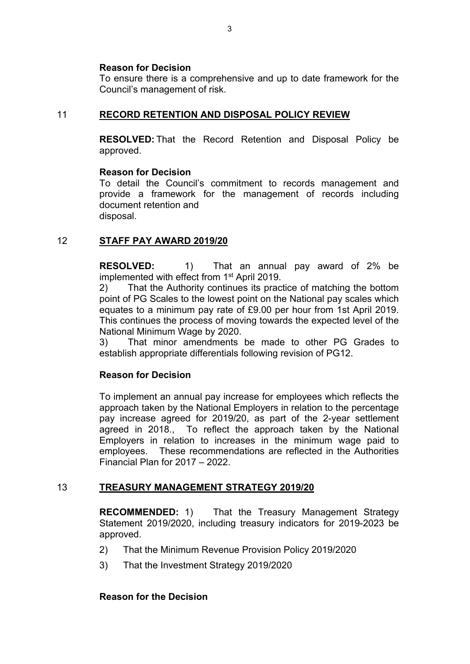#### **Reason for Decision**

To ensure there is a comprehensive and up to date framework for the Council's management of risk.

## 11 **RECORD RETENTION AND DISPOSAL POLICY REVIEW**

**RESOLVED:** That the Record Retention and Disposal Policy be approved.

#### **Reason for Decision**

To detail the Council's commitment to records management and provide a framework for the management of records including document retention and disposal.

## 12 **STAFF PAY AWARD 2019/20**

**RESOLVED:** 1) That an annual pay award of 2% be implemented with effect from 1<sup>st</sup> April 2019.

2) That the Authority continues its practice of matching the bottom point of PG Scales to the lowest point on the National pay scales which equates to a minimum pay rate of £9.00 per hour from 1st April 2019. This continues the process of moving towards the expected level of the National Minimum Wage by 2020.

3) That minor amendments be made to other PG Grades to establish appropriate differentials following revision of PG12.

## **Reason for Decision**

To implement an annual pay increase for employees which reflects the approach taken by the National Employers in relation to the percentage pay increase agreed for 2019/20, as part of the 2-year settlement agreed in 2018., To reflect the approach taken by the National Employers in relation to increases in the minimum wage paid to employees. These recommendations are reflected in the Authorities Financial Plan for 2017 – 2022.

## 13 **TREASURY MANAGEMENT STRATEGY 2019/20**

**RECOMMENDED:** 1) That the Treasury Management Strategy Statement 2019/2020, including treasury indicators for 2019-2023 be approved.

- 2) That the Minimum Revenue Provision Policy 2019/2020
- 3) That the Investment Strategy 2019/2020

#### **Reason for the Decision**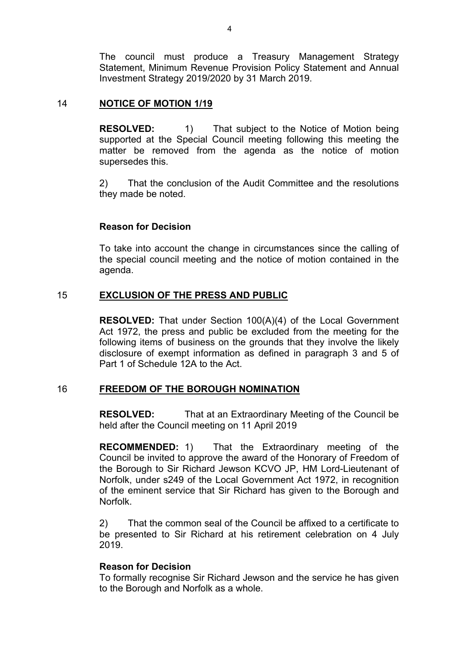The council must produce a Treasury Management Strategy Statement, Minimum Revenue Provision Policy Statement and Annual Investment Strategy 2019/2020 by 31 March 2019.

#### 14 **NOTICE OF MOTION 1/19**

**RESOLVED:** 1) That subject to the Notice of Motion being supported at the Special Council meeting following this meeting the matter be removed from the agenda as the notice of motion supersedes this.

2) That the conclusion of the Audit Committee and the resolutions they made be noted.

#### **Reason for Decision**

To take into account the change in circumstances since the calling of the special council meeting and the notice of motion contained in the agenda.

#### 15 **EXCLUSION OF THE PRESS AND PUBLIC**

**RESOLVED:** That under Section 100(A)(4) of the Local Government Act 1972, the press and public be excluded from the meeting for the following items of business on the grounds that they involve the likely disclosure of exempt information as defined in paragraph 3 and 5 of Part 1 of Schedule 12A to the Act.

#### 16 **FREEDOM OF THE BOROUGH NOMINATION**

**RESOLVED:** That at an Extraordinary Meeting of the Council be held after the Council meeting on 11 April 2019

**RECOMMENDED:** 1) That the Extraordinary meeting of the Council be invited to approve the award of the Honorary of Freedom of the Borough to Sir Richard Jewson KCVO JP, HM Lord-Lieutenant of Norfolk, under s249 of the Local Government Act 1972, in recognition of the eminent service that Sir Richard has given to the Borough and Norfolk.

2) That the common seal of the Council be affixed to a certificate to be presented to Sir Richard at his retirement celebration on 4 July 2019.

#### **Reason for Decision**

To formally recognise Sir Richard Jewson and the service he has given to the Borough and Norfolk as a whole.